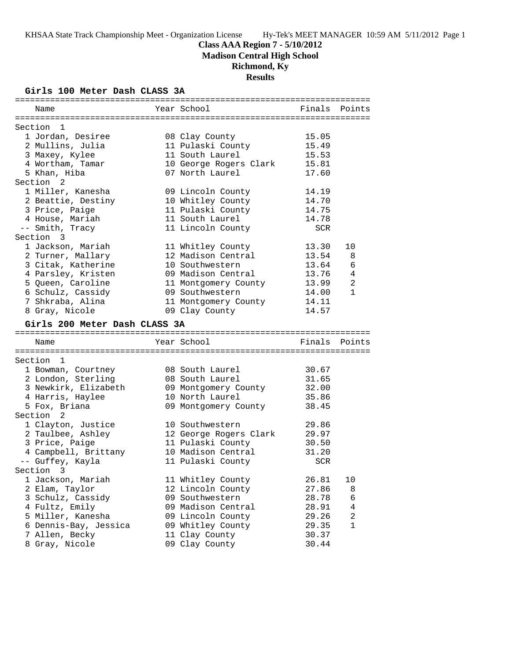## **Class AAA Region 7 - 5/10/2012**

**Madison Central High School**

## **Richmond, Ky**

**Results**

## **Girls 100 Meter Dash CLASS 3A**

| Name                          | Year School                               | Finals     | Points         |
|-------------------------------|-------------------------------------------|------------|----------------|
| Section 1                     |                                           |            |                |
| 1 Jordan, Desiree             | 08 Clay County                            | 15.05      |                |
| 2 Mullins, Julia              | 11 Pulaski County                         | 15.49      |                |
| 3 Maxey, Kylee                | 11 South Laurel                           | 15.53      |                |
|                               |                                           | 15.81      |                |
| 4 Wortham, Tamar              | 10 George Rogers Clark<br>07 North Laurel |            |                |
| 5 Khan, Hiba                  |                                           | 17.60      |                |
| Section <sub>2</sub>          |                                           |            |                |
| 1 Miller, Kanesha             | 09 Lincoln County                         | 14.19      |                |
| 2 Beattie, Destiny            | 10 Whitley County                         | 14.70      |                |
| 3 Price, Paige                | 11 Pulaski County                         | 14.75      |                |
| 4 House, Mariah               | 11 South Laurel                           | 14.78      |                |
| -- Smith, Tracy               | 11 Lincoln County                         | <b>SCR</b> |                |
| Section 3                     |                                           |            |                |
| 1 Jackson, Mariah             | 11 Whitley County                         | 13.30      | 10             |
| 2 Turner, Mallary             | 12 Madison Central                        | 13.54      | 8              |
| 3 Citak, Katherine            | 10 Southwestern                           | 13.64      | 6              |
| 4 Parsley, Kristen            | 09 Madison Central                        | 13.76      | 4              |
| 5 Queen, Caroline             | 11 Montgomery County                      | 13.99      | $\overline{a}$ |
| 6 Schulz, Cassidy             | 09 Southwestern                           | 14.00      | $\mathbf{1}$   |
| 7 Shkraba, Alina              | 11 Montgomery County                      | 14.11      |                |
| 8 Gray, Nicole                | 09 Clay County                            | 14.57      |                |
| Girls 200 Meter Dash CLASS 3A |                                           |            |                |
|                               |                                           |            |                |
| Name                          | Year School                               |            | Finals Points  |
|                               |                                           |            |                |
| Section 1                     |                                           |            |                |
| 1 Bowman, Courtney            | 08 South Laurel                           | 30.67      |                |
| 2 London, Sterling            | 08 South Laurel                           | 31.65      |                |
| 3 Newkirk, Elizabeth          | 09 Montgomery County                      | 32.00      |                |
| 4 Harris, Haylee              | 10 North Laurel                           | 35.86      |                |
| 5 Fox, Briana                 | 09 Montgomery County                      | 38.45      |                |
| 2<br>Section                  |                                           |            |                |
| 1 Clayton, Justice            | 10 Southwestern                           | 29.86      |                |
| 2 Taulbee, Ashley             | 12 George Rogers Clark                    | 29.97      |                |
| 3 Price, Paige                | 11 Pulaski County                         | 30.50      |                |
| 4 Campbell, Brittany          | 10 Madison Central                        | 31.20      |                |
| -- Guffey, Kayla              | 11 Pulaski County                         | <b>SCR</b> |                |
| Section 3                     |                                           |            |                |
| 1 Jackson, Mariah             | 11 Whitley County                         | 26.81      | 10             |
| 2 Elam, Taylor                | 12 Lincoln County                         | 27.86      | 8              |
| 3 Schulz, Cassidy             | 09 Southwestern                           | 28.78      | 6              |
| 4 Fultz, Emily                | 09 Madison Central                        | 28.91      | $\overline{4}$ |
| 5 Miller, Kanesha             | 09 Lincoln County                         | 29.26      | 2              |
|                               |                                           |            | 1              |
| 6 Dennis-Bay, Jessica         | 09 Whitley County                         | 29.35      |                |
| 7 Allen, Becky                | 11 Clay County                            | 30.37      |                |
| 8 Gray, Nicole                | 09 Clay County                            | 30.44      |                |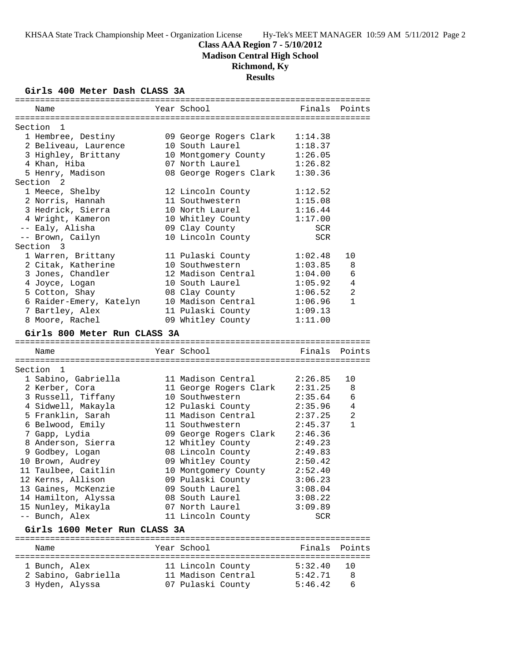**Madison Central High School**

# **Richmond, Ky**

# **Results**

## **Girls 400 Meter Dash CLASS 3A**

| Name                          | Year School            | Finals Points  |                |
|-------------------------------|------------------------|----------------|----------------|
| Section<br>-1                 |                        |                |                |
| 1 Hembree, Destiny            | 09 George Rogers Clark | 1:14.38        |                |
| 2 Beliveau, Laurence          | 10 South Laurel        | 1:18.37        |                |
| 3 Highley, Brittany           | 10 Montgomery County   | 1:26.05        |                |
| 4 Khan, Hiba                  | 07 North Laurel        | 1:26.82        |                |
| 5 Henry, Madison              | 08 George Rogers Clark | 1:30.36        |                |
| Section <sub>2</sub>          |                        |                |                |
| 1 Meece, Shelby               | 12 Lincoln County      | 1:12.52        |                |
| 2 Norris, Hannah              | 11 Southwestern        | 1:15.08        |                |
| 3 Hedrick, Sierra             | 10 North Laurel        | 1:16.44        |                |
| 4 Wright, Kameron             | 10 Whitley County      | 1:17.00        |                |
| -- Ealy, Alisha               | 09 Clay County         | <b>SCR</b>     |                |
| -- Brown, Cailyn              | 10 Lincoln County      | <b>SCR</b>     |                |
| Section 3                     |                        |                |                |
| 1 Warren, Brittany            | 11 Pulaski County      | 1:02.48        | 10             |
| 2 Citak, Katherine            | 10 Southwestern        | 1:03.85        | 8              |
| 3 Jones, Chandler             | 12 Madison Central     | 1:04.00        | 6              |
| 4 Joyce, Logan                | 10 South Laurel        | 1:05.92        | 4              |
| 5 Cotton, Shay                | 08 Clay County         | 1:06.52        | 2              |
| 6 Raider-Emery, Katelyn       | 10 Madison Central     | 1:06.96        | $\mathbf{1}$   |
| 7 Bartley, Alex               | 11 Pulaski County      | 1:09.13        |                |
| 8 Moore, Rachel               | 09 Whitley County      | 1:11.00        |                |
| Girls 800 Meter Run CLASS 3A  |                        |                |                |
|                               |                        |                |                |
| Name                          | Year School            | Finals         | Points         |
|                               |                        |                |                |
| Section 1                     |                        |                |                |
| 1 Sabino, Gabriella           | 11 Madison Central     | 2:26.85        | 10             |
| 2 Kerber, Cora                | 11 George Rogers Clark | 2:31.25        | 8              |
| 3 Russell, Tiffany            | 10 Southwestern        | 2:35.64        | 6              |
| 4 Sidwell, Makayla            | 12 Pulaski County      | 2:35.96        | 4              |
| 5 Franklin, Sarah             | 11 Madison Central     | 2:37.25        | $\overline{a}$ |
| 6 Belwood, Emily              | 11 Southwestern        | 2:45.37        | $\mathbf{1}$   |
| 7 Gapp, Lydia                 | 09 George Rogers Clark | 2:46.36        |                |
| 8 Anderson, Sierra            | 12 Whitley County      | 2:49.23        |                |
| 9 Godbey, Logan               | 08 Lincoln County      | 2:49.83        |                |
| 10 Brown, Audrey              | 09 Whitley County      | 2:50.42        |                |
| 11 Taulbee, Caitlin           | 10 Montgomery County   | 2:52.40        |                |
| 12 Kerns, Allison             | 09 Pulaski County      | 3:06.23        |                |
| 13 Gaines, McKenzie           | 09 South Laurel        | 3:08.04        |                |
| 14 Hamilton, Alyssa           | 08 South Laurel        | 3:08.22        |                |
| 15 Nunley, Mikayla            | 07 North Laurel        | 3:09.89<br>SCR |                |
| -- Bunch, Alex                | 11 Lincoln County      |                |                |
| Girls 1600 Meter Run CLASS 3A |                        |                | Points         |

| 1 Bunch, Alex       | 11 Lincoln County  | 5:32.40 | 10 D         |
|---------------------|--------------------|---------|--------------|
| 2 Sabino, Gabriella | 11 Madison Central | 5:42.71 | $\mathbf{R}$ |
| 3 Hyden, Alyssa     | 07 Pulaski County  | 5:46.42 | -6           |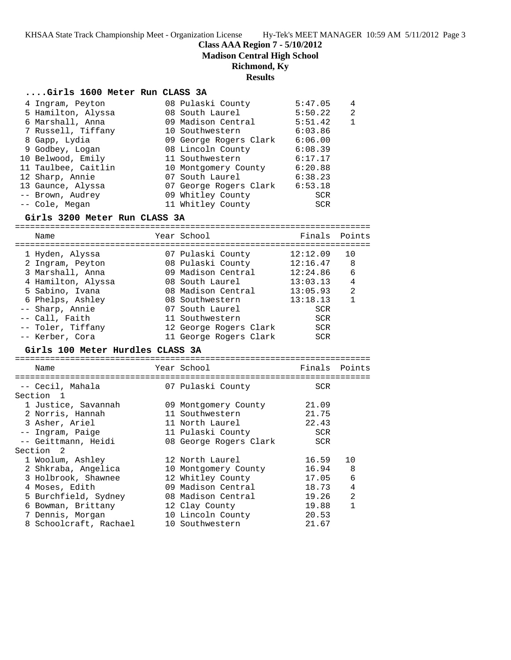**Class AAA Region 7 - 5/10/2012**

**Madison Central High School**

## **Richmond, Ky**

### **Results**

### **....Girls 1600 Meter Run CLASS 3A**

| 4 Ingram, Peyton    | 08 Pulaski County      | 5:47.05    | 4 |
|---------------------|------------------------|------------|---|
| 5 Hamilton, Alyssa  | 08 South Laurel        | 5:50.22    | 2 |
| 6 Marshall, Anna    | 09 Madison Central     | 5:51.42    | 1 |
| 7 Russell, Tiffany  | 10 Southwestern        | 6:03.86    |   |
| 8 Gapp, Lydia       | 09 George Rogers Clark | 6:06.00    |   |
| 9 Godbey, Logan     | 08 Lincoln County      | 6:08.39    |   |
| 10 Belwood, Emily   | 11 Southwestern        | 6:17.17    |   |
| 11 Taulbee, Caitlin | 10 Montgomery County   | 6:20.88    |   |
| 12 Sharp, Annie     | 07 South Laurel        | 6:38.23    |   |
| 13 Gaunce, Alyssa   | 07 George Rogers Clark | 6:53.18    |   |
| -- Brown, Audrey    | 09 Whitley County      | <b>SCR</b> |   |
| -- Cole, Megan      | 11 Whitley County      | <b>SCR</b> |   |

### **Girls 3200 Meter Run CLASS 3A**

======================================================================= Name The Year School Team Points Points ======================================================================= 1 Hyden, Alyssa 07 Pulaski County 12:12.09 10 2 Ingram, Peyton 08 Pulaski County 12:16.47 8 3 Marshall, Anna 09 Madison Central 12:24.86 6 4 Hamilton, Alyssa 08 South Laurel 13:03.13 4 5 Sabino, Ivana 08 Madison Central 13:05.93 2 6 Phelps, Ashley 08 Southwestern 13:18.13 1 -- Sharp, Annie 07 South Laurel SCR -- Call, Faith 11 Southwestern SCR -- Toler, Tiffany 12 George Rogers Clark SCR -- Kerber, Cora 11 George Rogers Clark SCR

### **Girls 100 Meter Hurdles CLASS 3A**

| Name                   | Year School            | Finals     | Points         |
|------------------------|------------------------|------------|----------------|
|                        |                        |            |                |
| -- Cecil, Mahala       | 07 Pulaski County      | <b>SCR</b> |                |
| Section 1              |                        |            |                |
| 1 Justice, Savannah    | 09 Montgomery County   | 21.09      |                |
| 2 Norris, Hannah       | 11 Southwestern        | 21.75      |                |
| 3 Asher, Ariel         | 11 North Laurel        | 22.43      |                |
| -- Ingram, Paige       | 11 Pulaski County      | <b>SCR</b> |                |
| -- Geittmann, Heidi    | 08 George Rogers Clark | <b>SCR</b> |                |
| Section 2              |                        |            |                |
| 1 Woolum, Ashley       | 12 North Laurel        | 16.59      | 10             |
| 2 Shkraba, Angelica    | 10 Montgomery County   | 16.94      | 8              |
| 3 Holbrook, Shawnee    | 12 Whitley County      | 17.05      | 6              |
| 4 Moses, Edith         | 09 Madison Central     | 18.73      | 4              |
| 5 Burchfield, Sydney   | 08 Madison Central     | 19.26      | $\mathfrak{D}$ |
| 6 Bowman, Brittany     | 12 Clay County         | 19.88      | 1              |
| 7 Dennis, Morgan       | 10 Lincoln County      | 20.53      |                |
| 8 Schoolcraft, Rachael | 10 Southwestern        | 21.67      |                |
|                        |                        |            |                |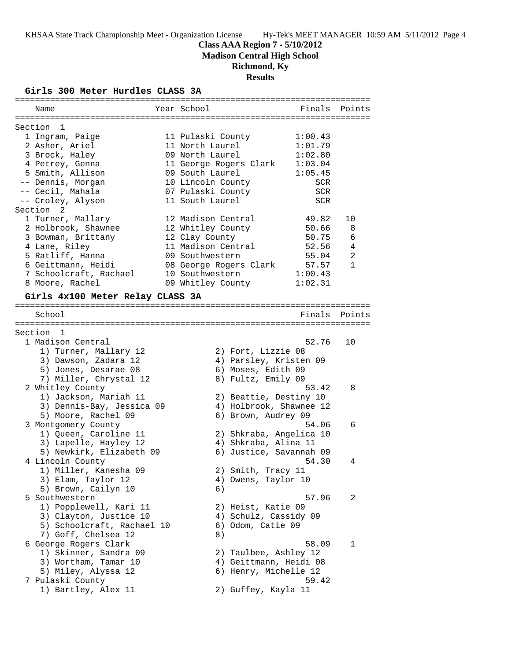**Madison Central High School**

# **Richmond, Ky**

**Results**

## **Girls 300 Meter Hurdles CLASS 3A**

| Name                             | Year School            | Finals                  | Points         |
|----------------------------------|------------------------|-------------------------|----------------|
|                                  |                        |                         |                |
| Section 1                        |                        |                         |                |
| 1 Ingram, Paige                  | 11 Pulaski County      | 1:00.43                 |                |
| 2 Asher, Ariel                   | 11 North Laurel        | 1:01.79                 |                |
| 3 Brock, Haley                   | 09 North Laurel        | 1:02.80                 |                |
| 4 Petrey, Genna                  | 11 George Rogers Clark | 1:03.04                 |                |
| 5 Smith, Allison                 | 09 South Laurel        | 1:05.45                 |                |
| -- Dennis, Morgan                | 10 Lincoln County      | SCR                     |                |
| -- Cecil, Mahala                 | 07 Pulaski County      | <b>SCR</b>              |                |
| -- Croley, Alyson                | 11 South Laurel        | <b>SCR</b>              |                |
| Section 2                        |                        |                         |                |
| 1 Turner, Mallary                | 12 Madison Central     | 49.82                   | 10             |
| 2 Holbrook, Shawnee              | 12 Whitley County      | 50.66                   | 8              |
| 3 Bowman, Brittany               | 12 Clay County         | 50.75                   | 6              |
| 4 Lane, Riley                    | 11 Madison Central     | 52.56                   | 4              |
| 5 Ratliff, Hanna                 | 09 Southwestern        | 55.04                   | $\overline{a}$ |
| 6 Geittmann, Heidi               | 08 George Rogers Clark | 57.57                   | $\mathbf{1}$   |
| 7 Schoolcraft, Rachael           | 10 Southwestern        | 1:00.43                 |                |
| 8 Moore, Rachel                  | 09 Whitley County      | 1:02.31                 |                |
| Girls 4x100 Meter Relay CLASS 3A |                        |                         |                |
|                                  |                        |                         |                |
| School                           |                        | Finals                  | Points         |
|                                  |                        |                         |                |
| Section 1                        |                        |                         |                |
| 1 Madison Central                |                        | 52.76                   | 10             |
| 1) Turner, Mallary 12            |                        | 2) Fort, Lizzie 08      |                |
| 3) Dawson, Zadara 12             |                        | 4) Parsley, Kristen 09  |                |
| 5) Jones, Desarae 08             |                        | 6) Moses, Edith 09      |                |
| 7) Miller, Chrystal 12           |                        | 8) Fultz, Emily 09      |                |
| 2 Whitley County                 |                        | 53.42                   | 8              |
| 1) Jackson, Mariah 11            |                        | 2) Beattie, Destiny 10  |                |
| 3) Dennis-Bay, Jessica 09        |                        | 4) Holbrook, Shawnee 12 |                |
| 5) Moore, Rachel 09              |                        | 6) Brown, Audrey 09     |                |
| 3 Montgomery County              |                        | 54.06                   | 6              |
| 1) Queen, Caroline 11            |                        | 2) Shkraba, Angelica 10 |                |
| 3) Lapelle, Hayley 12            |                        | 4) Shkraba, Alina 11    |                |
| 5) Newkirk, Elizabeth 09         |                        | 6) Justice, Savannah 09 |                |
| 4 Lincoln County                 |                        | 54.30                   | 4              |
| 1) Miller, Kanesha 09            |                        | 2) Smith, Tracy 11      |                |
| 3) Elam, Taylor 12               |                        | 4) Owens, Taylor 10     |                |
| 5) Brown, Cailyn 10              | 6)                     |                         |                |
| 5 Southwestern                   |                        | 57.96                   | 2              |
| 1) Popplewell, Kari 11           |                        | 2) Heist, Katie 09      |                |
| 3) Clayton, Justice 10           |                        | 4) Schulz, Cassidy 09   |                |
| 5) Schoolcraft, Rachael 10       |                        | 6) Odom, Catie 09       |                |
| 7) Goff, Chelsea 12              | 8)                     |                         |                |
| 6 George Rogers Clark            |                        | 58.09                   | 1              |
| 1) Skinner, Sandra 09            |                        | 2) Taulbee, Ashley 12   |                |
| 3) Wortham, Tamar 10             |                        | 4) Geittmann, Heidi 08  |                |
| 5) Miley, Alyssa 12              |                        | 6) Henry, Michelle 12   |                |
| 7 Pulaski County                 |                        | 59.42                   |                |
| 1) Bartley, Alex 11              |                        | 2) Guffey, Kayla 11     |                |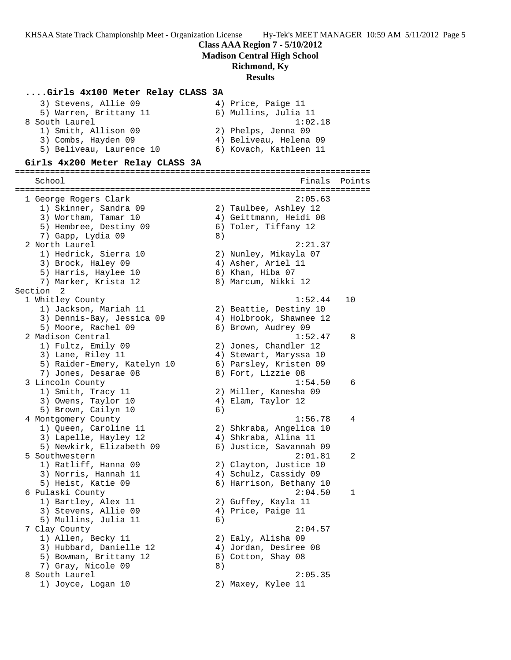### **Class AAA Region 7 - 5/10/2012**

**Madison Central High School**

## **Richmond, Ky**

### **Results**

## **....Girls 4x100 Meter Relay CLASS 3A**

| 3) Stevens, Allie 09     | 4) Price, Paige 11     |
|--------------------------|------------------------|
| 5) Warren, Brittany 11   | 6) Mullins, Julia 11   |
| 8 South Laurel           | 1:02.18                |
| 1) Smith, Allison 09     | 2) Phelps, Jenna 09    |
| 3) Combs, Hayden 09      | 4) Beliveau, Helena 09 |
| 5) Beliveau, Laurence 10 | 6) Kovach, Kathleen 11 |

### **Girls 4x200 Meter Relay CLASS 3A**

======================================================================= School **Finals** Points ======================================================================= 1 George Rogers Clark 2:05.63 1) Skinner, Sandra 09 2) Taulbee, Ashley 12 3) Wortham, Tamar 10 4) Geittmann, Heidi 08 5) Hembree, Destiny 09 6) Toler, Tiffany 12 7) Gapp, Lydia 09 8) 2 North Laurel 2:21.37 1) Hedrick, Sierra 10 2) Nunley, Mikayla 07 3) Brock, Haley 09 4) Asher, Ariel 11 5) Harris, Haylee 10 6) Khan, Hiba 07 7) Marker, Krista 12 8) Marcum, Nikki 12 Section 2<br>1 Whitley County 1 Whitley County 1:52.44 10 1) Jackson, Mariah 11 2) Beattie, Destiny 10 3) Dennis-Bay, Jessica 09 4) Holbrook, Shawnee 12 5) Moore, Rachel 09 (6) Brown, Audrey 09 2 Madison Central 1:52.47 8 1) Fultz, Emily 09 2) Jones, Chandler 12 3) Lane, Riley 11 4) Stewart, Maryssa 10 5) Raider-Emery, Katelyn 10 6) Parsley, Kristen 09 7) Jones, Desarae 08 8) Fort, Lizzie 08 3 Lincoln County 1:54.50 6 1) Smith, Tracy 11 2) Miller, Kanesha 09 3) Owens, Taylor 10 (4) Elam, Taylor 12 5) Brown, Cailyn 10 6) 4 Montgomery County 1:56.78 4 1) Queen, Caroline 11 2) Shkraba, Angelica 10 3) Lapelle, Hayley 12 4) Shkraba, Alina 11 5) Newkirk, Elizabeth 09 6) Justice, Savannah 09 5 Southwestern 2:01.81 2 1) Ratliff, Hanna 09 2) Clayton, Justice 10 3) Norris, Hannah 11 4) Schulz, Cassidy 09 5) Heist, Katie 09 6) Harrison, Bethany 10 6 Pulaski County 2:04.50 1 1) Bartley, Alex 11 2) Guffey, Kayla 11 3) Stevens, Allie 09 (4) Price, Paige 11 5) Mullins, Julia 11 (6) 7 Clay County 2:04.57 1) Allen, Becky 11 2) Ealy, Alisha 09 3) Hubbard, Danielle 12 4) Jordan, Desiree 08 5) Bowman, Brittany 12 (6) Cotton, Shay 08 7) Gray, Nicole 09 8) 8 South Laurel 2:05.35 1) Joyce, Logan 10 2) Maxey, Kylee 11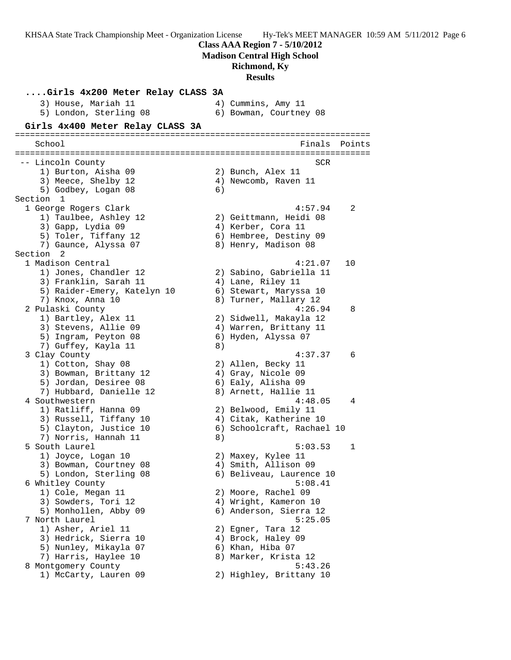**Class AAA Region 7 - 5/10/2012**

**Madison Central High School**

## **Richmond, Ky**

**Results**

**....Girls 4x200 Meter Relay CLASS 3A** 3) House, Mariah 11  $\hskip10mm 4$ ) Cummins, Amy 11 5) London, Sterling 08 6) Bowman, Courtney 08 **Girls 4x400 Meter Relay CLASS 3A** ======================================================================= School **Finals** Points **Points** ======================================================================= -- Lincoln County SCR 1) Burton, Aisha 09 2) Bunch, Alex 11 3) Meece, Shelby 12 (4) Newcomb, Raven 11 5) Godbey, Logan 08 6) Section 1 1 George Rogers Clark 4:57.94 2 1) Taulbee, Ashley 12 2) Geittmann, Heidi 08 3) Gapp, Lydia 09 4) Kerber, Cora 11 5) Toler, Tiffany 12 6) Hembree, Destiny 09 7) Gaunce, Alyssa 07 8) Henry, Madison 08 Section 2 1 Madison Central 4:21.07 10 1) Jones, Chandler 12 2) Sabino, Gabriella 11 3) Franklin, Sarah 11  $\qquad \qquad$  4) Lane, Riley 11 5) Raider-Emery, Katelyn 10 6) Stewart, Maryssa 10 7) Knox, Anna 10 8) Turner, Mallary 12 2 Pulaski County 4:26.94 8 1) Bartley, Alex 11 2) Sidwell, Makayla 12 3) Stevens, Allie 09 (4) Warren, Brittany 11 5) Ingram, Peyton 08 6) Hyden, Alyssa 07 7) Guffey, Kayla 11 and 8) 3 Clay County 4:37.37 6 1) Cotton, Shay 08 2) Allen, Becky 11 3) Bowman, Brittany 12 (4) Gray, Nicole 09 5) Jordan, Desiree 08 6) Ealy, Alisha 09 7) Hubbard, Danielle 12 8) Arnett, Hallie 11 4 Southwestern 1.1 and 1.48.05 4 1) Ratliff, Hanna 09 2) Belwood, Emily 11 3) Russell, Tiffany 10 4) Citak, Katherine 10 5) Clayton, Justice 10 6) Schoolcraft, Rachael 10 7) Norris, Hannah 11 and 8) 5 South Laurel 5:03.53 1 1) Joyce, Logan 10 2) Maxey, Kylee 11 3) Bowman, Courtney 08 (4) Smith, Allison 09 5) London, Sterling 08 6) Beliveau, Laurence 10 6 Whitley County **6:08.41**  1) Cole, Megan 11 2) Moore, Rachel 09 3) Sowders, Tori 12 and 4) Wright, Kameron 10 5) Monhollen, Abby 09 6) Anderson, Sierra 12 7 North Laurel 5:25.05 1) Asher, Ariel 11 2) Egner, Tara 12 3) Hedrick, Sierra 10  $\hskip1cm$  4) Brock, Haley 09 5) Nunley, Mikayla 07 6) Khan, Hiba 07 7) Harris, Haylee 10 8) Marker, Krista 12 8 Montgomery County 6:43.26 1) McCarty, Lauren 09 2) Highley, Brittany 10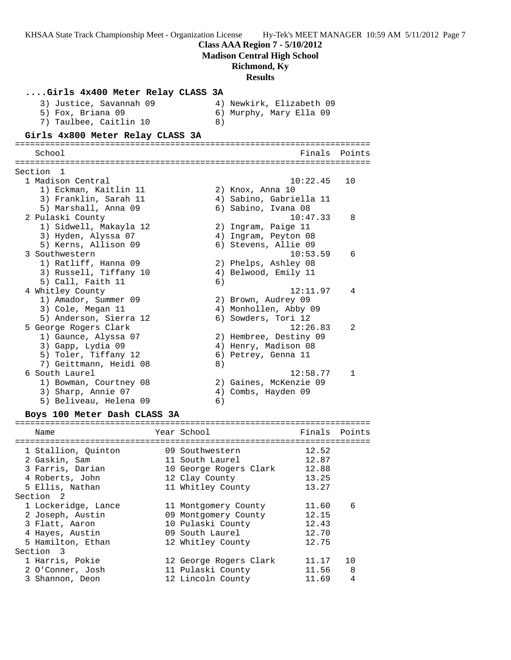**Class AAA Region 7 - 5/10/2012**

**Madison Central High School**

### **Richmond, Ky**

**Results**

| Girls 4x400 Meter Relay CLASS 3A          |    |                                                |        |
|-------------------------------------------|----|------------------------------------------------|--------|
| 3) Justice, Savannah 09                   |    | 4) Newkirk, Elizabeth 09                       |        |
| 5) Fox, Briana 09                         |    | 6) Murphy, Mary Ella 09                        |        |
| 7) Taulbee, Caitlin 10                    | 8) |                                                |        |
| Girls 4x800 Meter Relay CLASS 3A          |    |                                                |        |
| School                                    |    | Finals                                         | Points |
|                                           |    |                                                |        |
| Section 1                                 |    |                                                |        |
| 1 Madison Central                         |    | 10:22.45                                       | 10     |
| 1) Eckman, Kaitlin 11                     |    | 2) Knox, Anna 10                               |        |
| 3) Franklin, Sarah 11                     |    | 4) Sabino, Gabriella 11                        |        |
| 5) Marshall, Anna 09                      |    | 6) Sabino, Ivana 08                            |        |
| 2 Pulaski County                          |    | 10:47.33                                       | 8      |
| 1) Sidwell, Makayla 12                    |    | 2) Ingram, Paige 11                            |        |
| 3) Hyden, Alyssa 07                       |    | 4) Ingram, Peyton 08                           |        |
| 5) Kerns, Allison 09                      |    | 6) Stevens, Allie 09                           |        |
| 3 Southwestern                            |    | 10:53.59                                       | 6      |
| 1) Ratliff, Hanna 09                      |    | 2) Phelps, Ashley 08                           |        |
| 3) Russell, Tiffany 10                    |    | 4) Belwood, Emily 11                           |        |
| 5) Call, Faith 11                         | 6) |                                                |        |
| 4 Whitley County                          |    | 12:11.97                                       | 4      |
| 1) Amador, Summer 09                      |    | 2) Brown, Audrey 09                            |        |
| 3) Cole, Megan 11                         |    | 4) Monhollen, Abby 09                          |        |
| 5) Anderson, Sierra 12                    |    | 6) Sowders, Tori 12<br>12:26.83                | 2      |
| 5 George Rogers Clark                     |    |                                                |        |
| 1) Gaunce, Alyssa 07                      |    | 2) Hembree, Destiny 09<br>4) Henry, Madison 08 |        |
| 3) Gapp, Lydia 09<br>5) Toler, Tiffany 12 |    | 6) Petrey, Genna 11                            |        |
| 7) Geittmann, Heidi 08                    | 8) |                                                |        |
| 6 South Laurel                            |    | 12:58.77                                       | 1.     |
| 1) Bowman, Courtney 08                    |    | 2) Gaines, McKenzie 09                         |        |
| 3) Sharp, Annie 07                        |    | 4) Combs, Hayden 09                            |        |
| 5) Beliveau, Helena 09                    | 6) |                                                |        |
|                                           |    |                                                |        |

#### **Boys 100 Meter Dash CLASS 3A**

======================================================================= Name The Year School The Finals Points ======================================================================= 1 Stallion, Quinton 09 Southwestern 12.52 2 Gaskin, Sam 11 South Laurel 12.87 3 Farris, Darian 10 George Rogers Clark 12.88 4 Roberts, John 12 Clay County 13.25 5 Ellis, Nathan 11 Whitley County 13.27 Section 2 1 Lockeridge, Lance 11 Montgomery County 11.60 6 2 Joseph, Austin 09 Montgomery County 12.15 3 Flatt, Aaron 10 Pulaski County 12.43 4 Hayes, Austin 09 South Laurel 12.70 5 Hamilton, Ethan 12 Whitley County 12.75 Section 3 1 Harris, Pokie 12 George Rogers Clark 11.17 10 2 O'Conner, Josh 11 Pulaski County 11.56 8 3 Shannon, Deon 12 Lincoln County 11.69 4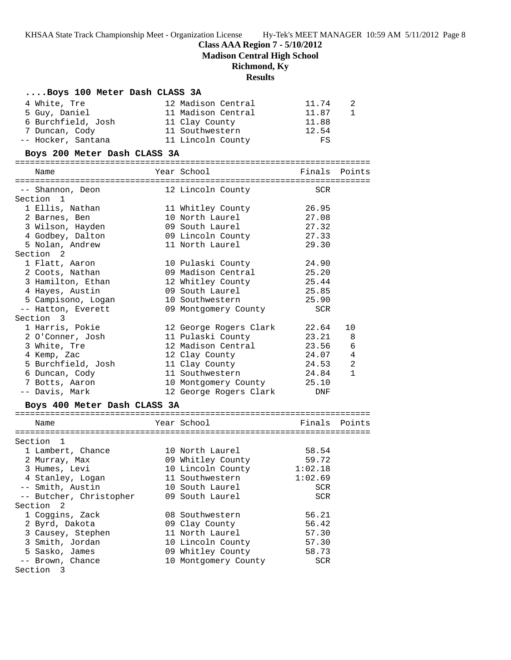**Class AAA Region 7 - 5/10/2012**

**Madison Central High School**

## **Richmond, Ky**

## **Results**

| Boys 100 Meter Dash CLASS 3A |                              |                |                |
|------------------------------|------------------------------|----------------|----------------|
| 4 White, Tre                 | 12 Madison Central           | 11.74          | 2              |
| 5 Guy, Daniel                | 11 Madison Central           | 11.87          | $\mathbf{1}$   |
| 6 Burchfield, Josh           | 11 Clay County               | 11.88          |                |
| 7 Duncan, Cody               | 11 Southwestern              | 12.54          |                |
| -- Hocker, Santana           | 11 Lincoln County            | FS             |                |
| Boys 200 Meter Dash CLASS 3A |                              |                |                |
| Name                         | Year School                  | Finals Points  |                |
|                              |                              |                |                |
| -- Shannon, Deon             | 12 Lincoln County            | SCR            |                |
| Section 1                    |                              |                |                |
| 1 Ellis, Nathan              | 11 Whitley County            | 26.95<br>27.08 |                |
| 2 Barnes, Ben                | 10 North Laurel              |                |                |
| 3 Wilson, Hayden             | 09 South Laurel              | 27.32          |                |
| 4 Godbey, Dalton             | 09 Lincoln County            | 27.33          |                |
| 5 Nolan, Andrew              | 11 North Laurel              | 29.30          |                |
| Section <sub>2</sub>         |                              |                |                |
| 1 Flatt, Aaron               | 10 Pulaski County            | 24.90          |                |
| 2 Coots, Nathan              | 09 Madison Central           | 25.20          |                |
| 3 Hamilton, Ethan            | 12 Whitley County            | 25.44          |                |
| 4 Hayes, Austin              | 09 South Laurel              | 25.85          |                |
| 5 Campisono, Logan           | 10 Southwestern              | 25.90          |                |
| -- Hatton, Everett           | 09 Montgomery County         | SCR            |                |
| Section 3                    |                              |                |                |
| 1 Harris, Pokie              | 12 George Rogers Clark 22.64 |                | 10             |
| 2 O'Conner, Josh             | 11 Pulaski County            | 23.21          | - 8            |
| 3 White, Tre                 | 12 Madison Central           | 23.56          | - 6            |
| 4 Kemp, Zac                  | 12 Clay County               | 24.07          | $\overline{4}$ |
| 5 Burchfield, Josh           | 11 Clay County               | 24.53          | 2              |
| 6 Duncan, Cody               | 11 Southwestern              | 24.84          | $\mathbf{1}$   |
| 7 Botts, Aaron               | 10 Montgomery County         | 25.10          |                |
| -- Davis, Mark               | 12 George Rogers Clark       | DNF            |                |
| Boys 400 Meter Dash CLASS 3A |                              |                |                |
| Name                         | Year School                  | Finals Points  |                |
|                              |                              |                |                |
| Section 1                    |                              |                |                |
| 1 Lambert, Chance            | 10 North Laurel              | 58.54          |                |
| 2 Murray, Max                | 09 Whitley County            | 59.72          |                |
| 3 Humes, Levi                | 10 Lincoln County            | 1:02.18        |                |
| 4 Stanley, Logan             | 11 Southwestern              | 1:02.69        |                |
| -- Smith, Austin             | 10 South Laurel              | SCR            |                |
| -- Butcher, Christopher      | 09 South Laurel              | SCR            |                |
| Section<br>2                 |                              |                |                |
|                              | 08 Southwestern              |                |                |
| 1 Coggins, Zack              |                              | 56.21          |                |
| 2 Byrd, Dakota               | 09 Clay County               | 56.42          |                |
| 3 Causey, Stephen            | 11 North Laurel              | 57.30          |                |
| 3 Smith, Jordan              | 10 Lincoln County            | 57.30          |                |
| 5 Sasko, James               | 09 Whitley County            | 58.73          |                |
| -- Brown, Chance             | 10 Montgomery County         | SCR            |                |
| Section 3                    |                              |                |                |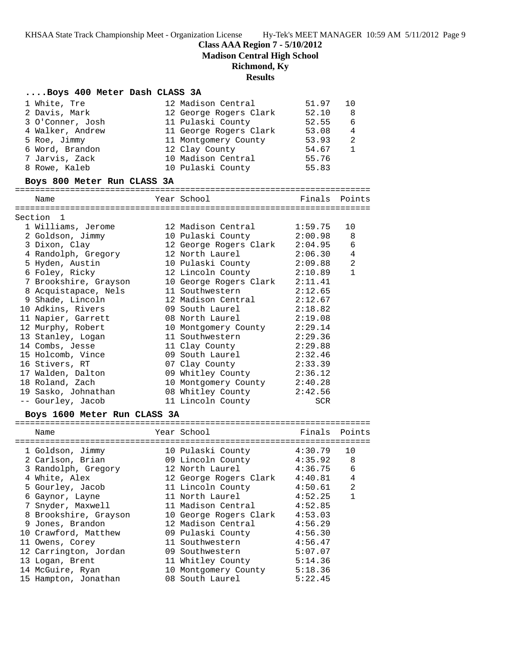**Class AAA Region 7 - 5/10/2012**

**Madison Central High School**

## **Richmond, Ky**

## **Results**

## **....Boys 400 Meter Dash CLASS 3A**

| 1 White, Tre     | 12 Madison Central     | 51.97 | 1 O            |
|------------------|------------------------|-------|----------------|
| 2 Davis, Mark    | 12 George Rogers Clark | 52.10 | 8              |
| 3 O'Conner, Josh | 11 Pulaski County      | 52.55 | 6              |
| 4 Walker, Andrew | 11 George Rogers Clark | 53.08 | $\overline{4}$ |
| 5 Roe, Jimmy     | 11 Montgomery County   | 53.93 | 2              |
| 6 Word, Brandon  | 12 Clay County         | 54.67 |                |
| 7 Jarvis, Zack   | 10 Madison Central     | 55.76 |                |
| 8 Rowe, Kaleb    | 10 Pulaski County      | 55.83 |                |

### **Boys 800 Meter Run CLASS 3A**

=======================================================================

| Name                                      | Year School                    | Finals     | Points         |
|-------------------------------------------|--------------------------------|------------|----------------|
| Section 1                                 |                                |            |                |
| 1 Williams, Jerome                        | 12 Madison Central 1:59.75     |            | 10             |
| 2 Goldson, Jimmy                          | 10 Pulaski County 2:00.98 8    |            |                |
| 3 Dixon, Clay                             | 12 George Rogers Clark 2:04.95 |            | $\epsilon$     |
| 4 Randolph, Gregory                       | 12 North Laurel 2:06.30        |            | $\overline{4}$ |
| 5 Hyden, Austin                           | 10 Pulaski County              | 2:09.88    | $\overline{2}$ |
| 6 Foley, Ricky                            | 12 Lincoln County              | 2:10.89    | $\mathbf{1}$   |
| 7 Brookshire, Grayson                     | 10 George Rogers Clark 2:11.41 |            |                |
| 8 Acquistapace, Nels                      | 11 Southwestern 2:12.65        |            |                |
| 9 Shade, Lincoln                          | 12 Madison Central 2:12.67     |            |                |
| 10 Adkins, Rivers 69 South Laurel 2:18.82 |                                |            |                |
| 11 Napier, Garrett                        | 08 North Laurel 2:19.08        |            |                |
| 12 Murphy, Robert                         | 10 Montgomery County 2:29.14   |            |                |
| 13 Stanley, Logan                         | 11 Southwestern 2:29.36        |            |                |
| 14 Combs, Jesse                           | 11 Clay County 2:29.88         |            |                |
| 15 Holcomb, Vince                         | 09 South Laurel 2:32.46        |            |                |
| 16 Stivers, RT                            | 07 Clay County                 | 2:33.39    |                |
| 17 Walden, Dalton                         | 09 Whitley County 2:36.12      |            |                |
| 18 Roland, Zach                           | 10 Montgomery County 2:40.28   |            |                |
| 19 Sasko, Johnathan                       | 08 Whitley County              | 2:42.56    |                |
| -- Gourley, Jacob                         | 11 Lincoln County              | <b>SCR</b> |                |

## **Boys 1600 Meter Run CLASS 3A**

| Name                  |  | Year School            | Finals  | Points       |  |  |
|-----------------------|--|------------------------|---------|--------------|--|--|
| 1 Goldson, Jimmy      |  | 10 Pulaski County      | 4:30.79 | 10           |  |  |
|                       |  |                        |         |              |  |  |
| 2 Carlson, Brian      |  | 09 Lincoln County      | 4:35.92 | 8            |  |  |
| 3 Randolph, Gregory   |  | 12 North Laurel        | 4:36.75 | 6            |  |  |
| 4 White, Alex         |  | 12 George Rogers Clark | 4:40.81 | 4            |  |  |
| 5 Gourley, Jacob      |  | 11 Lincoln County      | 4:50.61 | 2            |  |  |
| 6 Gaynor, Layne       |  | 11 North Laurel        | 4:52.25 | $\mathbf{1}$ |  |  |
| 7 Snyder, Maxwell     |  | 11 Madison Central     | 4:52.85 |              |  |  |
| 8 Brookshire, Grayson |  | 10 George Rogers Clark | 4:53.03 |              |  |  |
| 9 Jones, Brandon      |  | 12 Madison Central     | 4:56.29 |              |  |  |
| 10 Crawford, Matthew  |  | 09 Pulaski County      | 4:56.30 |              |  |  |
| 11 Owens, Corey       |  | 11 Southwestern        | 4:56.47 |              |  |  |
| 12 Carrington, Jordan |  | 09 Southwestern        | 5:07.07 |              |  |  |
| 13 Logan, Brent       |  | 11 Whitley County      | 5:14.36 |              |  |  |
| 14 McGuire, Ryan      |  | 10 Montgomery County   | 5:18.36 |              |  |  |
| 15 Hampton, Jonathan  |  | 08 South Laurel        | 5:22.45 |              |  |  |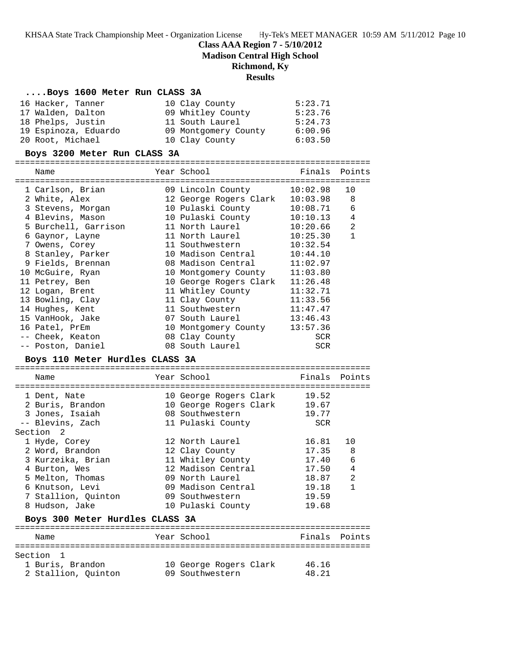## **Class AAA Region 7 - 5/10/2012**

**Madison Central High School**

### **Richmond, Ky**

### **Results**

### **....Boys 1600 Meter Run CLASS 3A**

| 16 Hacker, Tanner    | 10 Clay County       | 5:23.71 |
|----------------------|----------------------|---------|
| 17 Walden, Dalton    | 09 Whitley County    | 5:23.76 |
| 18 Phelps, Justin    | 11 South Laurel      | 5:24.73 |
| 19 Espinoza, Eduardo | 09 Montgomery County | 6:00.96 |
| 20 Root, Michael     | 10 Clay County       | 6:03.50 |

#### **Boys 3200 Meter Run CLASS 3A**

=======================================================================

|                                                                                                           | Name                 |  | Year School                       | Finals       | Points         |  |  |
|-----------------------------------------------------------------------------------------------------------|----------------------|--|-----------------------------------|--------------|----------------|--|--|
|                                                                                                           | 1 Carlson, Brian     |  | ============<br>09 Lincoln County | 10:02.98     | 10             |  |  |
|                                                                                                           | 2 White, Alex        |  | 12 George Rogers Clark            | $10:03.98$ 8 |                |  |  |
|                                                                                                           | 3 Stevens, Morgan    |  | 10 Pulaski County                 | 10:08.71     | 6              |  |  |
|                                                                                                           | 4 Blevins, Mason     |  | 10 Pulaski County                 | 10:10.13     | $\overline{4}$ |  |  |
|                                                                                                           | 5 Burchell, Garrison |  | 11 North Laurel                   | 10:20.66     | 2              |  |  |
|                                                                                                           | 6 Gaynor, Layne      |  | 11 North Laurel                   | 10:25.30     | $\mathbf{1}$   |  |  |
|                                                                                                           | 7 Owens, Corey       |  | 11 Southwestern                   | 10:32.54     |                |  |  |
|                                                                                                           | 8 Stanley, Parker    |  | 10 Madison Central                | 10:44.10     |                |  |  |
|                                                                                                           | 9 Fields, Brennan    |  | 08 Madison Central                | 11:02.97     |                |  |  |
|                                                                                                           | 10 McGuire, Ryan     |  | 10 Montgomery County              | 11:03.80     |                |  |  |
|                                                                                                           | 11 Petrey, Ben       |  | 10 George Rogers Clark            | 11:26.48     |                |  |  |
|                                                                                                           | 12 Logan, Brent      |  | 11 Whitley County                 | 11:32.71     |                |  |  |
|                                                                                                           | 13 Bowling, Clay     |  | 11 Clay County                    | 11:33.56     |                |  |  |
|                                                                                                           | 14 Hughes, Kent      |  | 11 Southwestern                   | 11:47.47     |                |  |  |
|                                                                                                           | 15 VanHook, Jake     |  | 07 South Laurel                   | 13:46.43     |                |  |  |
|                                                                                                           | 16 Patel, PrEm       |  | 10 Montgomery County              | 13:57.36     |                |  |  |
|                                                                                                           | -- Cheek, Keaton     |  | 08 Clay County                    | SCR          |                |  |  |
|                                                                                                           | -- Poston, Daniel    |  | 08 South Laurel                   | SCR          |                |  |  |
| $P_{\text{O}}$ $110 \text{ Me}$ $\sim$ $H_{\text{H}}$ $\sim$ $d$ $\sim$ $dT$ $\Lambda$ $C$ $C$ $2\Lambda$ |                      |  |                                   |              |                |  |  |

#### **Boys 110 Meter Hurdles CLASS 3A**

======================================================================= Name The Year School The Finals Points ======================================================================= 1 Dent, Nate 10 George Rogers Clark 19.52 2 Buris, Brandon 10 George Rogers Clark 19.67 3 Jones, Isaiah 08 Southwestern 19.77 -- Blevins, Zach 11 Pulaski County SCR Section 2 1 Hyde, Corey 12 North Laurel 16.81 10 2 Word, Brandon 12 Clay County 17.35 8 3 Kurzeika, Brian 11 Whitley County 17.40 6 4 Burton, Wes 12 Madison Central 17.50 4 5 Melton, Thomas 09 North Laurel 18.87 2 6 Knutson, Levi 09 Madison Central 19.18 1 7 Stallion, Quinton 09 Southwestern 19.59 8 Hudson, Jake 10 Pulaski County 19.68 **Boys 300 Meter Hurdles CLASS 3A** ======================================================================= Name The Year School Team Points Points ======================================================================= Section 1 1 Buris, Brandon 10 George Rogers Clark 46.16

| 2 Stallion, Quinton |  | 09 Southwestern | 48.21 |
|---------------------|--|-----------------|-------|
|---------------------|--|-----------------|-------|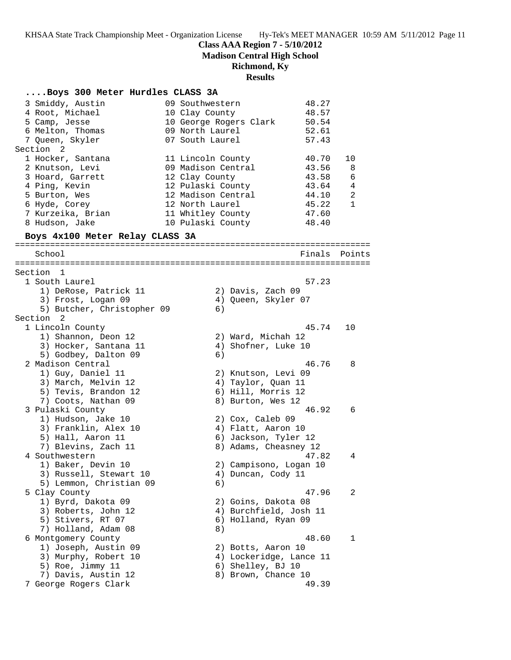**Class AAA Region 7 - 5/10/2012**

**Madison Central High School**

## **Richmond, Ky**

**Results**

### **....Boys 300 Meter Hurdles CLASS 3A**

| 3 Smiddy, Austin  | 09 Southwestern        | 48.27 |    |
|-------------------|------------------------|-------|----|
| 4 Root, Michael   | 10 Clay County         | 48.57 |    |
| 5 Camp, Jesse     | 10 George Rogers Clark | 50.54 |    |
| 6 Melton, Thomas  | 09 North Laurel        | 52.61 |    |
| 7 Oueen, Skyler   | 07 South Laurel        | 57.43 |    |
| Section 2         |                        |       |    |
| 1 Hocker, Santana | 11 Lincoln County      | 40.70 | 10 |
| 2 Knutson, Levi   | 09 Madison Central     | 43.56 | 8  |
| 3 Hoard, Garrett  | 12 Clay County         | 43.58 | 6  |
| 4 Ping, Kevin     | 12 Pulaski County      | 43.64 | 4  |
| 5 Burton, Wes     | 12 Madison Central     | 44.10 | 2  |
| 6 Hyde, Corey     | 12 North Laurel        | 45.22 | 1  |
| 7 Kurzeika, Brian | 11 Whitley County      | 47.60 |    |
| 8 Hudson, Jake    | 10 Pulaski County      | 48.40 |    |

### **Boys 4x100 Meter Relay CLASS 3A**

======================================================================= School **Finals** Points ======================================================================= Section 1 1 South Laurel 57.23 1) DeRose, Patrick 11 (2) Davis, Zach 09 3) Frost, Logan 09 4) Queen, Skyler 07 5) Butcher, Christopher 09 6) Section 2<br>1 Lincoln County 1 Lincoln County 45.74 10 1) Shannon, Deon 12 2) Ward, Michah 12 3) Hocker, Santana 11 (4) Shofner, Luke 10 5) Godbey, Dalton 09 6) 2 Madison Central 46.76 8 1) Guy, Daniel 11 2) Knutson, Levi 09 3) March, Melvin 12 (4) Taylor, Quan 11 5) Tevis, Brandon 12 (6) Hill, Morris 12 7) Coots, Nathan 09 8) Burton, Wes 12 3 Pulaski County 46.92 6 1) Hudson, Jake 10 2) Cox, Caleb 09 3) Franklin, Alex 10 (4) Flatt, Aaron 10 5) Hall, Aaron 11 (6) Jackson, Tyler 12 7) Blevins, Zach 11 8) Adams, Cheasney 12 4 Southwestern 47.82 4 1) Baker, Devin 10 2) Campisono, Logan 10 3) Russell, Stewart 10  $\hskip1cm 4$ ) Duncan, Cody 11 5) Lemmon, Christian 09 6) 5 Clay County 47.96 2 1) Byrd, Dakota 09 2) Goins, Dakota 08 3) Roberts, John 12 4) Burchfield, Josh 11 5) Stivers, RT 07 6) Holland, Ryan 09 7) Holland, Adam 08 8) 6 Montgomery County 48.60 1 1) Joseph, Austin 09 2) Botts, Aaron 10 3) Murphy, Robert 10 4) Lockeridge, Lance 11 5) Roe, Jimmy 11 6) Shelley, BJ 10 7) Davis, Austin 12 8) Brown, Chance 10 7 George Rogers Clark 49.39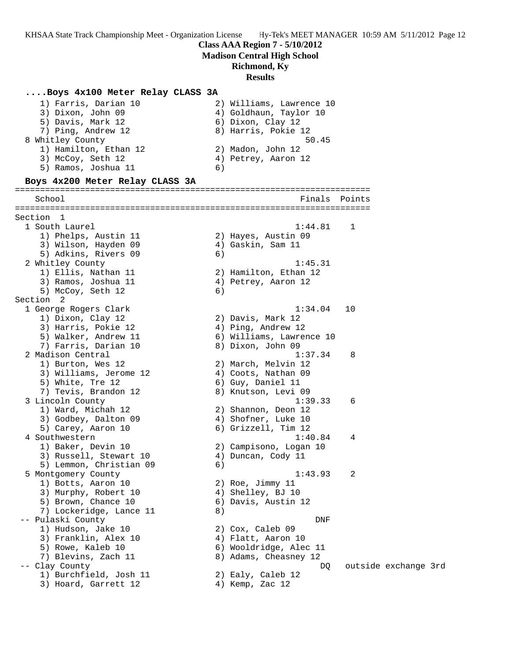**Madison Central High School**

**Richmond, Ky**

**Results**

| Boys 4x100 Meter Relay CLASS 3A |    |                                        |        |                      |  |
|---------------------------------|----|----------------------------------------|--------|----------------------|--|
| 1) Farris, Darian 10            |    | 2) Williams, Lawrence 10               |        |                      |  |
| 3) Dixon, John 09               |    | 4) Goldhaun, Taylor 10                 |        |                      |  |
| 5) Davis, Mark 12               |    | 6) Dixon, Clay 12                      |        |                      |  |
| 7) Ping, Andrew 12              |    | 8) Harris, Pokie 12                    |        |                      |  |
|                                 |    | 50.45                                  |        |                      |  |
| 8 Whitley County                |    |                                        |        |                      |  |
| 1) Hamilton, Ethan 12           |    | 2) Madon, John 12                      |        |                      |  |
| 3) McCoy, Seth 12               |    | 4) Petrey, Aaron 12                    |        |                      |  |
| 5) Ramos, Joshua 11             | 6) |                                        |        |                      |  |
| Boys 4x200 Meter Relay CLASS 3A |    | ====================================== |        |                      |  |
| School                          |    | Finals                                 | Points |                      |  |
| Section 1                       |    |                                        |        |                      |  |
| 1 South Laurel                  |    | 1:44.81                                | 1      |                      |  |
| 1) Phelps, Austin 11            |    | 2) Hayes, Austin 09                    |        |                      |  |
| 3) Wilson, Hayden 09            |    | 4) Gaskin, Sam 11                      |        |                      |  |
| 5) Adkins, Rivers 09            | 6) |                                        |        |                      |  |
| 2 Whitley County                |    | 1:45.31                                |        |                      |  |
| 1) Ellis, Nathan 11             |    | 2) Hamilton, Ethan 12                  |        |                      |  |
| 3) Ramos, Joshua 11             |    | 4) Petrey, Aaron 12                    |        |                      |  |
| 5) McCoy, Seth 12               | 6) |                                        |        |                      |  |
| Section <sub>2</sub>            |    |                                        |        |                      |  |
| 1 George Rogers Clark           |    | 1:34.04                                | 10     |                      |  |
| 1) Dixon, Clay 12               |    | 2) Davis, Mark 12                      |        |                      |  |
| 3) Harris, Pokie 12             |    | 4) Ping, Andrew 12                     |        |                      |  |
| 5) Walker, Andrew 11            |    | 6) Williams, Lawrence 10               |        |                      |  |
| 7) Farris, Darian 10            |    | 8) Dixon, John 09                      |        |                      |  |
| 2 Madison Central               |    | 1:37.34                                | 8      |                      |  |
| 1) Burton, Wes 12               |    | 2) March, Melvin 12                    |        |                      |  |
| 3) Williams, Jerome 12          |    | 4) Coots, Nathan 09                    |        |                      |  |
| 5) White, Tre 12                |    | 6) Guy, Daniel 11                      |        |                      |  |
| 7) Tevis, Brandon 12            |    | 8) Knutson, Levi 09                    |        |                      |  |
| 3 Lincoln County                |    | 1:39.33                                | 6      |                      |  |
| 1) Ward, Michah 12              |    | 2) Shannon, Deon 12                    |        |                      |  |
| 3) Godbey, Dalton 09            |    | 4) Shofner, Luke 10                    |        |                      |  |
| 5) Carey, Aaron 10              |    | 6) Grizzell, Tim 12                    |        |                      |  |
| 4 Southwestern                  |    | 1:40.84                                | 4      |                      |  |
| 1) Baker, Devin 10              |    | 2) Campisono, Logan 10                 |        |                      |  |
| 3) Russell, Stewart 10          |    | 4) Duncan, Cody 11                     |        |                      |  |
| 5) Lemmon, Christian 09         | 6) |                                        |        |                      |  |
| 5 Montgomery County             |    | 1:43.93                                | 2      |                      |  |
| 1) Botts, Aaron 10              |    | 2) Roe, Jimmy 11                       |        |                      |  |
| 3) Murphy, Robert 10            |    | 4) Shelley, BJ 10                      |        |                      |  |
| 5) Brown, Chance 10             |    | 6) Davis, Austin 12                    |        |                      |  |
| 7) Lockeridge, Lance 11         | 8) |                                        |        |                      |  |
| -- Pulaski County               |    | DNF                                    |        |                      |  |
| 1) Hudson, Jake 10              |    | 2) Cox, Caleb 09                       |        |                      |  |
| 3) Franklin, Alex 10            |    | 4) Flatt, Aaron 10                     |        |                      |  |
| 5) Rowe, Kaleb 10               |    | 6) Wooldridge, Alec 11                 |        |                      |  |
| 7) Blevins, Zach 11             |    | 8) Adams, Cheasney 12                  |        |                      |  |
| -- Clay County                  |    | DQ                                     |        | outside exchange 3rd |  |
| 1) Burchfield, Josh 11          |    | 2) Ealy, Caleb 12                      |        |                      |  |
| 3) Hoard, Garrett 12            |    | 4) Kemp, Zac 12                        |        |                      |  |
|                                 |    |                                        |        |                      |  |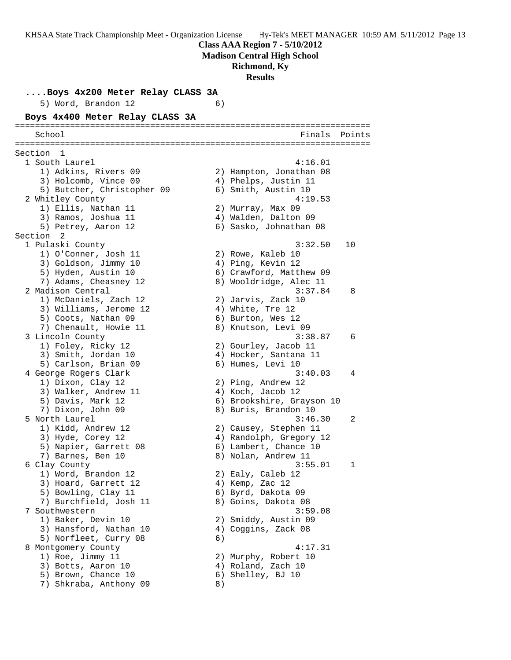**Madison Central High School**

**Richmond, Ky**

**Results**

**....Boys 4x200 Meter Relay CLASS 3A** 5) Word, Brandon 12 6) **Boys 4x400 Meter Relay CLASS 3A** ======================================================================= School Finals Points ======================================================================= Section 1 1 South Laurel 4:16.01 1) Adkins, Rivers 09 2) Hampton, Jonathan 08 3) Holcomb, Vince 09 (4) Phelps, Justin 11 5) Butcher, Christopher 09 6) Smith, Austin 10 2 Whitley County 4:19.53 1) Ellis, Nathan 11 2) Murray, Max 09 3) Ramos, Joshua 11 (4) Walden, Dalton 09 5) Petrey, Aaron 12 6) Sasko, Johnathan 08 Section 2<br>1 Pulaski County 1 Pulaski County 3:32.50 10 1) O'Conner, Josh 11 2) Rowe, Kaleb 10 3) Goldson, Jimmy 10  $\hskip1cm$  4) Ping, Kevin 12 5) Hyden, Austin 10 6) Crawford, Matthew 09 7) Adams, Cheasney 12 8) Wooldridge, Alec 11 2 Madison Central 3:37.84 8 1) McDaniels, Zach 12 2) Jarvis, Zack 10 3) Williams, Jerome 12  $\hspace{1cm}$  4) White, Tre 12 5) Coots, Nathan 09 6) Burton, Wes 12 7) Chenault, Howie 11 and 8) Knutson, Levi 09 3 Lincoln County 3:38.87 6 1) Foley, Ricky 12 2) Gourley, Jacob 11 3) Smith, Jordan 10 4) Hocker, Santana 11 5) Carlson, Brian 09 6) Humes, Levi 10 4 George Rogers Clark 3:40.03 4 1) Dixon, Clay 12 2) Ping, Andrew 12 3) Walker, Andrew 11 4) Koch, Jacob 12 5) Davis, Mark 12 6) Brookshire, Grayson 10 7) Dixon, John 09 8) Buris, Brandon 10 5 North Laurel 3:46.30 2 1) Kidd, Andrew 12 2) Causey, Stephen 11 3) Hyde, Corey 12 4) Randolph, Gregory 12 5) Napier, Garrett 08 6) Lambert, Chance 10 7) Barnes, Ben 10 8) Nolan, Andrew 11 6 Clay County 3:55.01 1 1) Word, Brandon 12 2) Ealy, Caleb 12 3) Hoard, Garrett 12 (4) Kemp, Zac 12 5) Bowling, Clay 11 6) Byrd, Dakota 09 7) Burchfield, Josh 11  $\hskip 10mm 8$ ) Goins, Dakota 08 7 Southwestern 3:59.08 1) Baker, Devin 10 2) Smiddy, Austin 09 3) Hansford, Nathan 10 4) Coggins, Zack 08 5) Norfleet, Curry 08 6) 8 Montgomery County 4:17.31 1) Roe, Jimmy 11 2) Murphy, Robert 10 3) Botts, Aaron 10 4) Roland, Zach 10 5) Brown, Chance 10 6) Shelley, BJ 10 7) Shkraba, Anthony 09 8)